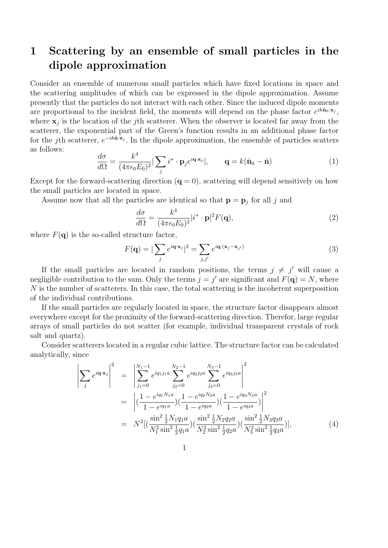## 1 Scattering by an ensemble of small particles in the dipole approximation

Consider an ensemble of numerous small particles which have fixed locations in space and the scattering amplitudes of which can be expressed in the dipole approximation. Assume presently that the particles do not interact with each other. Since the induced dipole moments are proportional to the incident field, the moments will depend on the phase factor  $e^{ik\hat{\mathbf{n}}_0 \cdot \mathbf{x}_j}$ , where  $x_j$  is the location of the *j*th scatterer. When the observer is located far away from the scatterer, the exponential part of the Green's function results in an additional phase factor for the *j*th scatterer,  $e^{-ik\hat{\mathbf{n}} \cdot \mathbf{x}_j}$ . In the dipole approximation, the ensemble of particles scatters as follows:

$$
\frac{d\sigma}{d\Omega} = \frac{k^4}{(4\pi\epsilon_0 E_0)^2} |\sum_j \hat{\epsilon}^* \cdot \mathbf{p}_j e^{i\mathbf{q} \cdot \mathbf{x}_j}|, \qquad \mathbf{q} = k(\hat{\mathbf{n}}_0 - \hat{\mathbf{n}})
$$
(1)

Except for the forward-scattering direction  $(q = 0)$ , scattering will depend sensitively on how the small particles are located in space.

Assume now that all the particles are identical so that  $\mathbf{p} = \mathbf{p}_j$  for all *j* and

$$
\frac{d\sigma}{d\Omega} = \frac{k^4}{(4\pi\epsilon_0 E_0)^2} |\hat{\epsilon}^* \cdot \mathbf{p}|^2 F(\mathbf{q}),\tag{2}
$$

where  $F(\mathbf{q})$  is the so-called structure factor,

$$
F(\mathbf{q}) = |\sum_{j} e^{i\mathbf{q} \cdot \mathbf{x}_{j}}|^{2} = \sum_{j,j'} e^{i\mathbf{q} \cdot (\mathbf{x}_{j} - \mathbf{x}_{j'})}
$$
(3)

If the small particles are located in random positions, the terms  $j \neq j'$  will cause a negligible contribution to the sum. Only the terms  $j = j'$  are significant and  $F(\mathbf{q}) = N$ , where *N* is the number of scatterers. In this case, the total scattering is the incoherent superposition of the individual contributions.

If the small particles are regularly located in space, the structure factor disappears almost everywhere except for the proximity of the forward-scattering direction. Therefor, large regular arrays of small particles do not scatter (for example, individual transparent crystals of rock salt and quartz).

Consider scatterers located in a regular cubic lattice. The structure factor can be calculated analytically, since

$$
\left| \sum_{j} e^{i\mathbf{q} \cdot \mathbf{x}_{j}} \right|^{2} = \left| \sum_{j_{1}=0}^{N_{1}-1} e^{iq_{1}j_{1}a} \sum_{j_{2}=0}^{N_{2}-1} e^{iq_{2}j_{2}a} \sum_{j_{3}=0}^{N_{3}-1} e^{iq_{3}j_{3}a} \right|^{2}
$$
  
\n
$$
= \left| \left( \frac{1 - e^{iq_{1}N_{1}a}}{1 - e^{iq_{1}a}} \right) \left( \frac{1 - e^{iq_{2}N_{2}a}}{1 - e^{iq_{2}a}} \right) \left( \frac{1 - e^{iq_{3}N_{3}a}}{1 - e^{iq_{3}a}} \right) \right|^{2}
$$
  
\n
$$
= N^{2} \left[ \left( \frac{\sin^{2} \frac{1}{2} N_{1}q_{1}a}{N_{1}^{2} \sin^{2} \frac{1}{2}q_{1}a} \right) \left( \frac{\sin^{2} \frac{1}{2} N_{2}q_{2}a}{N_{2}^{2} \sin^{2} \frac{1}{2}q_{2}a} \right) \left( \frac{\sin^{2} \frac{1}{2} N_{3}q_{3}a}{N_{3}^{2} \sin^{2} \frac{1}{2}q_{3}a} \right) \right],
$$
 (4)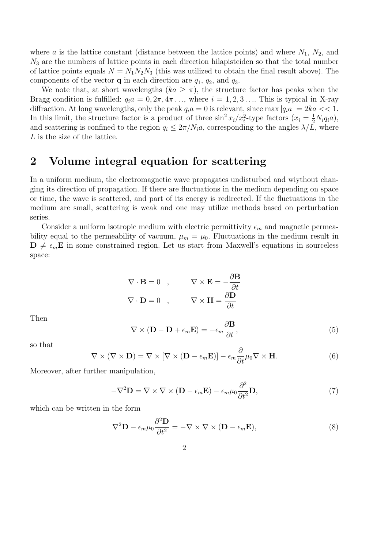where *a* is the lattice constant (distance between the lattice points) and where  $N_1$ ,  $N_2$ , and  $N_3$  are the numbers of lattice points in each direction hilapisteiden so that the total number of lattice points equals  $N = N_1 N_2 N_3$  (this was utilized to obtain the final result above). The components of the vector **q** in each direction are  $q_1$ ,  $q_2$ , and  $q_3$ .

We note that, at short wavelengths  $(ka \geq \pi)$ , the structure factor has peaks when the Bragg condition is fulfilled:  $q_i a = 0, 2\pi, 4\pi, \ldots$ , where  $i = 1, 2, 3, \ldots$  This is typical in X-ray diffraction. At long wavelengths, only the peak  $q_i a = 0$  is relevant, since max  $|q_i a| = 2ka \ll 1$ . In this limit, the structure factor is a product of three  $\sin^2 x_i/x_i^2$ -type factors  $(x_i = \frac{1}{2}N_iq_i a)$ , and scattering is confined to the region  $q_i \leq 2\pi/N_i a$ , corresponding to the angles  $\lambda/L$ , where *L* is the size of the lattice.

## 2 Volume integral equation for scattering

In a uniform medium, the electromagnetic wave propagates undisturbed and wiythout changing its direction of propagation. If there are fluctuations in the medium depending on space or time, the wave is scattered, and part of its energy is redirected. If the fluctuations in the medium are small, scattering is weak and one may utilize methods based on perturbation series.

Consider a uniform isotropic medium with electric permittivity  $\epsilon_m$  and magnetic permeability equal to the permeability of vacuum,  $\mu_m = \mu_0$ . Fluctuations in the medium result in  $\mathbf{D} \neq \epsilon_m \mathbf{E}$  in some constrained region. Let us start from Maxwell's equations in sourceless space:

$$
\nabla \cdot \mathbf{B} = 0 \quad , \qquad \nabla \times \mathbf{E} = -\frac{\partial \mathbf{B}}{\partial t}
$$

$$
\nabla \cdot \mathbf{D} = 0 \quad , \qquad \nabla \times \mathbf{H} = \frac{\partial \mathbf{D}}{\partial t}
$$

Then

$$
\nabla \times (\mathbf{D} - \mathbf{D} + \epsilon_m \mathbf{E}) = -\epsilon_m \frac{\partial \mathbf{B}}{\partial t},
$$
\n(5)

so that

$$
\nabla \times (\nabla \times \mathbf{D}) = \nabla \times [\nabla \times (\mathbf{D} - \epsilon_m \mathbf{E})] - \epsilon_m \frac{\partial}{\partial t} \mu_0 \nabla \times \mathbf{H}.
$$
 (6)

Moreover, after further manipulation,

$$
-\nabla^2 \mathbf{D} = \nabla \times \nabla \times (\mathbf{D} - \epsilon_m \mathbf{E}) - \epsilon_m \mu_0 \frac{\partial^2}{\partial t^2} \mathbf{D},\tag{7}
$$

which can be written in the form

$$
\nabla^2 \mathbf{D} - \epsilon_m \mu_0 \frac{\partial^2 \mathbf{D}}{\partial t^2} = -\nabla \times \nabla \times (\mathbf{D} - \epsilon_m \mathbf{E}), \tag{8}
$$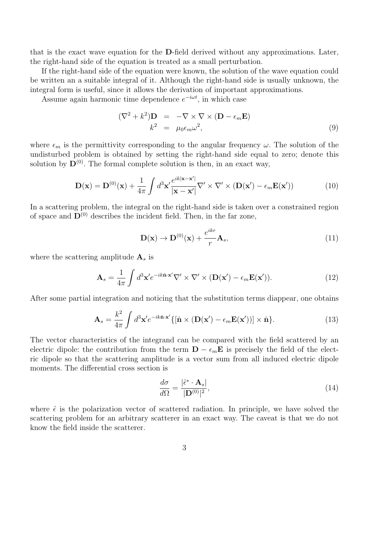that is the exact wave equation for the D-field derived without any approximations. Later, the right-hand side of the equation is treated as a small perturbation.

If the right-hand side of the equation were known, the solution of the wave equation could be written an a suitable integral of it. Although the right-hand side is usually unknown, the integral form is useful, since it allows the derivation of important approximations.

Assume again harmonic time dependence  $e^{-i\omega t}$ , in which case

$$
(\nabla^2 + k^2)\mathbf{D} = -\nabla \times \nabla \times (\mathbf{D} - \epsilon_m \mathbf{E})
$$
  

$$
k^2 = \mu_0 \epsilon_m \omega^2,
$$
 (9)

where  $\epsilon_m$  is the permittivity corresponding to the angular frequency  $\omega$ . The solution of the undisturbed problem is obtained by setting the right-hand side equal to zero; denote this solution by  $\mathbf{D}^{(0)}$ . The formal complete solution is then, in an exact way,

$$
\mathbf{D}(\mathbf{x}) = \mathbf{D}^{(0)}(\mathbf{x}) + \frac{1}{4\pi} \int d^3 \mathbf{x}' \frac{e^{ik|\mathbf{x} - \mathbf{x}'|}}{|\mathbf{x} - \mathbf{x}'|} \nabla' \times \nabla' \times (\mathbf{D}(\mathbf{x}') - \epsilon_m \mathbf{E}(\mathbf{x}')) \tag{10}
$$

In a scattering problem, the integral on the right-hand side is taken over a constrained region of space and  $\mathbf{D}^{(0)}$  describes the incident field. Then, in the far zone,

$$
\mathbf{D}(\mathbf{x}) \to \mathbf{D}^{(0)}(\mathbf{x}) + \frac{e^{ikr}}{r} \mathbf{A}_s,
$$
\n(11)

where the scattering amplitude A*<sup>s</sup>* is

$$
\mathbf{A}_s = \frac{1}{4\pi} \int d^3 \mathbf{x}' e^{-ik\hat{\mathbf{n}} \cdot \mathbf{x}'} \nabla' \times \nabla' \times (\mathbf{D}(\mathbf{x}') - \epsilon_m \mathbf{E}(\mathbf{x}')). \tag{12}
$$

After some partial integration and noticing that the substitution terms diappear, one obtains

$$
\mathbf{A}_s = \frac{k^2}{4\pi} \int d^3 \mathbf{x}' e^{-ik\hat{\mathbf{n}} \cdot \mathbf{x}'} \{ [\hat{\mathbf{n}} \times (\mathbf{D}(\mathbf{x}') - \epsilon_m \mathbf{E}(\mathbf{x}'))] \times \hat{\mathbf{n}} \}.
$$
 (13)

The vector characteristics of the integrand can be compared with the field scattered by an electric dipole: the contribution from the term  $\mathbf{D} - \epsilon_m \mathbf{E}$  is precisely the field of the electric dipole so that the scattering amplitude is a vector sum from all induced electric dipole moments. The differential cross section is

$$
\frac{d\sigma}{d\Omega} = \frac{|\hat{\epsilon}^* \cdot \mathbf{A}_s|}{|\mathbf{D}^{(0)}|^2},\tag{14}
$$

where  $\hat{\epsilon}$  is the polarization vector of scattered radiation. In principle, we have solved the scattering problem for an arbitrary scatterer in an exact way. The caveat is that we do not know the field inside the scatterer.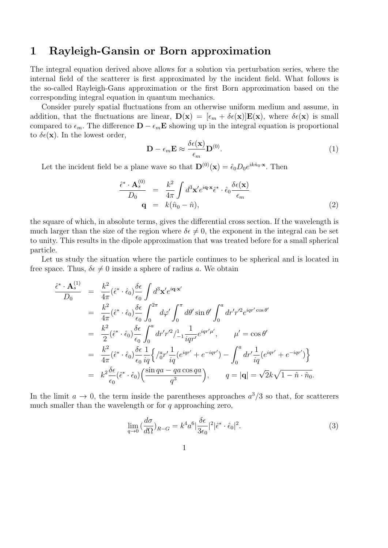## 1 Rayleigh-Gansin or Born approximation

The integral equation derived above allows for a solution via perturbation series, where the internal field of the scatterer is first approximated by the incident field. What follows is the so-called Rayleigh-Gans approximation or the first Born approximation based on the corresponding integral equation in quantum mechanics.

Consider purely spatial fluctuations from an otherwise uniform medium and assume, in addition, that the fluctuations are linear,  $\mathbf{D}(\mathbf{x})=[\epsilon_m + \delta \epsilon(\mathbf{x})]\mathbf{E}(\mathbf{x})$ , where  $\delta \epsilon(\mathbf{x})$  is small compared to  $\epsilon_m$ . The difference  $\mathbf{D} - \epsilon_m \mathbf{E}$  showing up in the integral equation is proportional to  $\delta \epsilon(\mathbf{x})$ . In the lowest order,

$$
\mathbf{D} - \epsilon_m \mathbf{E} \approx \frac{\delta \epsilon(\mathbf{x})}{\epsilon_m} \mathbf{D}^{(0)}.
$$
 (1)

Let the incident field be a plane wave so that  $\mathbf{D}^{(0)}(\mathbf{x})=\hat{\epsilon}_0D_0e^{ik\hat{n}_0\cdot\mathbf{x}}$ . Then

$$
\frac{\hat{\epsilon}^* \cdot \mathbf{A}_s^{(0)}}{D_0} = \frac{k^2}{4\pi} \int d^3 \mathbf{x}' e^{i\mathbf{q} \cdot \mathbf{x}} \hat{\epsilon}^* \cdot \hat{\epsilon}_0 \frac{\delta \epsilon(\mathbf{x})}{\epsilon_m}
$$
\n
$$
\mathbf{q} = k(\hat{n}_0 - \hat{n}),
$$
\n(2)

the square of which, in absolute terms, gives the differential cross section. If the wavelength is much larger than the size of the region where  $\delta \epsilon \neq 0$ , the exponent in the integral can be set to unity. This results in the dipole approximation that was treated before for a small spherical particle.

Let us study the situation where the particle continues to be spherical and is located in free space. Thus,  $\delta \epsilon \neq 0$  inside a sphere of radius *a*. We obtain

$$
\frac{\hat{\epsilon}^* \cdot \mathbf{A}_s^{(1)}}{D_0} = \frac{k^2}{4\pi} (\hat{\epsilon}^* \cdot \hat{\epsilon}_0) \frac{\delta \epsilon}{\epsilon_0} \int d^3 \mathbf{x}' e^{i\mathbf{q} \cdot \mathbf{x}'} \n= \frac{k^2}{4\pi} (\hat{\epsilon}^* \cdot \hat{\epsilon}_0) \frac{\delta \epsilon}{\epsilon_0} \int_0^{2\pi} d\varphi' \int_0^{\pi} d\theta' \sin \theta' \int_0^a dr' r'^2 e^{iqr' \cos \theta'} \n= \frac{k^2}{2} (\hat{\epsilon}^* \cdot \hat{\epsilon}_0) \frac{\delta \epsilon}{\epsilon_0} \int_0^a dr' r'^2 / \frac{1}{4\pi} \frac{1}{qr'} e^{iqr'\mu'}, \qquad \mu' = \cos \theta' \n= \frac{k^2}{4\pi} (\hat{\epsilon}^* \cdot \hat{\epsilon}_0) \frac{\delta \epsilon}{\epsilon_0} \frac{1}{iq} \left\{ \frac{1}{0} r' \frac{1}{iq} (e^{iqr'} + e^{-iqr'}) - \int_0^a dr' \frac{1}{iq} (e^{iqr'} + e^{-iqr'}) \right\} \n= k^2 \frac{\delta \epsilon}{\epsilon_0} (\hat{\epsilon}^* \cdot \hat{\epsilon}_0) \left( \frac{\sin qa - qa \cos qa}{q^3} \right), \qquad q = |\mathbf{q}| = \sqrt{2} k \sqrt{1 - \hat{n} \cdot \hat{n}_0}.
$$

In the limit  $a \to 0$ , the term inside the parentheses approaches  $a^3/3$  so that, for scatterers much smaller than the wavelength or for *q* approaching zero,

$$
\lim_{q \to 0} \left( \frac{d\sigma}{d\Omega} \right)_{R-G} = k^4 a^6 \left| \frac{\delta \epsilon}{3\epsilon_0} \right|^2 \left| \hat{\epsilon}^* \cdot \hat{\epsilon}_0 \right|^2. \tag{3}
$$